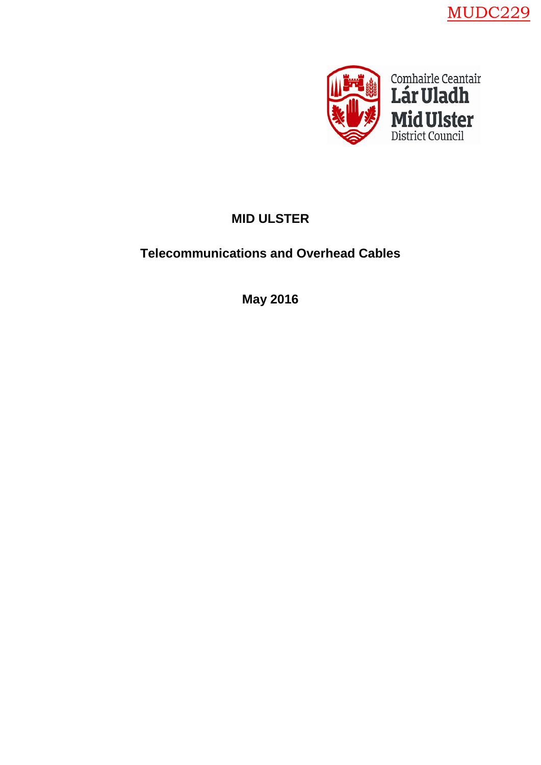



# **MID ULSTER**

# **Telecommunications and Overhead Cables**

**May 2016**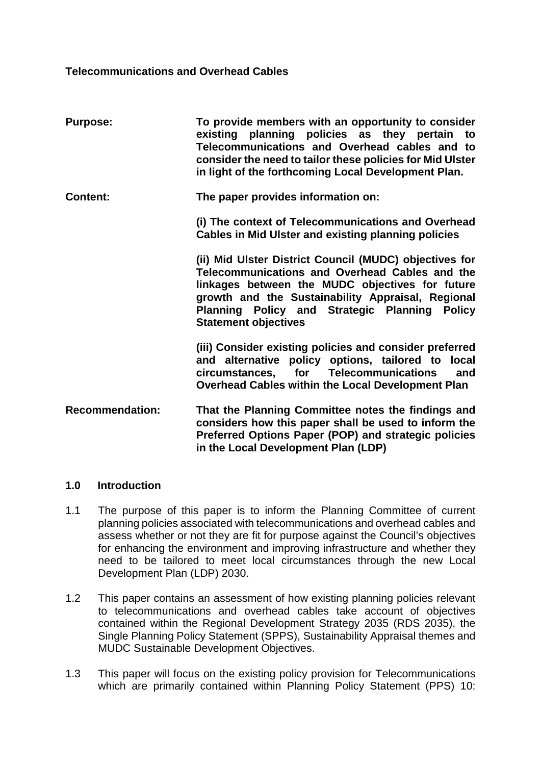### **Telecommunications and Overhead Cables**

| <b>Purpose:</b>        | To provide members with an opportunity to consider<br>existing planning policies as they pertain to<br>Telecommunications and Overhead cables and to<br>consider the need to tailor these policies for Mid Ulster<br>in light of the forthcoming Local Development Plan.                         |
|------------------------|--------------------------------------------------------------------------------------------------------------------------------------------------------------------------------------------------------------------------------------------------------------------------------------------------|
| <b>Content:</b>        | The paper provides information on:                                                                                                                                                                                                                                                               |
|                        | (i) The context of Telecommunications and Overhead<br><b>Cables in Mid Ulster and existing planning policies</b>                                                                                                                                                                                 |
|                        | (ii) Mid Ulster District Council (MUDC) objectives for<br>Telecommunications and Overhead Cables and the<br>linkages between the MUDC objectives for future<br>growth and the Sustainability Appraisal, Regional<br>Planning Policy and Strategic Planning Policy<br><b>Statement objectives</b> |
|                        | (iii) Consider existing policies and consider preferred<br>and alternative policy options, tailored to<br><b>local</b><br>circumstances, for Telecommunications<br>and<br><b>Overhead Cables within the Local Development Plan</b>                                                               |
| <b>Recommendation:</b> | That the Planning Committee notes the findings and<br>considers how this paper shall be used to inform the<br>Preferred Options Paper (POP) and strategic policies<br>in the Local Development Plan (LDP)                                                                                        |

### **1.0 Introduction**

- 1.1 The purpose of this paper is to inform the Planning Committee of current planning policies associated with telecommunications and overhead cables and assess whether or not they are fit for purpose against the Council's objectives for enhancing the environment and improving infrastructure and whether they need to be tailored to meet local circumstances through the new Local Development Plan (LDP) 2030.
- 1.2 This paper contains an assessment of how existing planning policies relevant to telecommunications and overhead cables take account of objectives contained within the Regional Development Strategy 2035 (RDS 2035), the Single Planning Policy Statement (SPPS), Sustainability Appraisal themes and MUDC Sustainable Development Objectives.
- 1.3 This paper will focus on the existing policy provision for Telecommunications which are primarily contained within Planning Policy Statement (PPS) 10: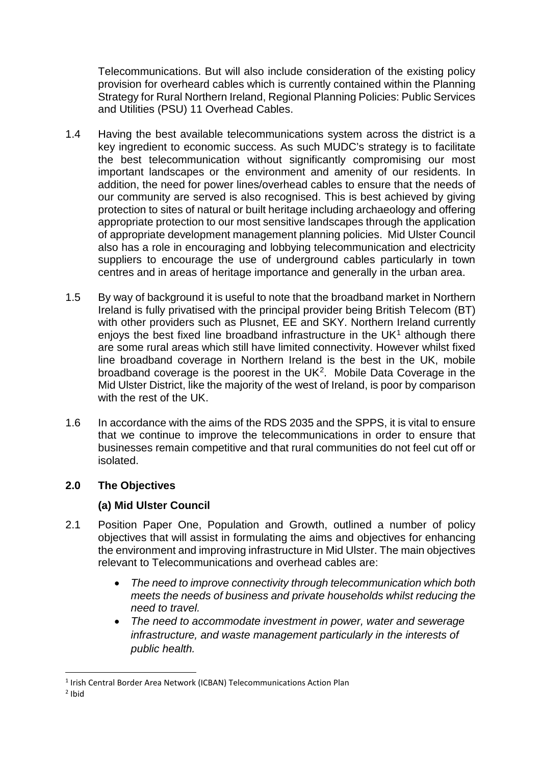Telecommunications. But will also include consideration of the existing policy provision for overheard cables which is currently contained within the Planning Strategy for Rural Northern Ireland, Regional Planning Policies: Public Services and Utilities (PSU) 11 Overhead Cables.

- 1.4 Having the best available telecommunications system across the district is a key ingredient to economic success. As such MUDC's strategy is to facilitate the best telecommunication without significantly compromising our most important landscapes or the environment and amenity of our residents. In addition, the need for power lines/overhead cables to ensure that the needs of our community are served is also recognised. This is best achieved by giving protection to sites of natural or built heritage including archaeology and offering appropriate protection to our most sensitive landscapes through the application of appropriate development management planning policies. Mid Ulster Council also has a role in encouraging and lobbying telecommunication and electricity suppliers to encourage the use of underground cables particularly in town centres and in areas of heritage importance and generally in the urban area.
- 1.5 By way of background it is useful to note that the broadband market in Northern Ireland is fully privatised with the principal provider being British Telecom (BT) with other providers such as Plusnet, EE and SKY. Northern Ireland currently enjoys the best fixed line broadband infrastructure in the  $UK<sup>1</sup>$  $UK<sup>1</sup>$  $UK<sup>1</sup>$  although there are some rural areas which still have limited connectivity. However whilst fixed line broadband coverage in Northern Ireland is the best in the UK, mobile broadband coverage is the poorest in the UK[2.](#page-2-1) Mobile Data Coverage in the Mid Ulster District, like the majority of the west of Ireland, is poor by comparison with the rest of the UK.
- 1.6 In accordance with the aims of the RDS 2035 and the SPPS, it is vital to ensure that we continue to improve the telecommunications in order to ensure that businesses remain competitive and that rural communities do not feel cut off or isolated.

## **2.0 The Objectives**

## **(a) Mid Ulster Council**

- 2.1 Position Paper One, Population and Growth, outlined a number of policy objectives that will assist in formulating the aims and objectives for enhancing the environment and improving infrastructure in Mid Ulster. The main objectives relevant to Telecommunications and overhead cables are:
	- *The need to improve connectivity through telecommunication which both meets the needs of business and private households whilst reducing the need to travel.*
	- *The need to accommodate investment in power, water and sewerage infrastructure, and waste management particularly in the interests of public health.*

<span id="page-2-1"></span><span id="page-2-0"></span><sup>&</sup>lt;sup>1</sup> Irish Central Border Area Network (ICBAN) Telecommunications Action Plan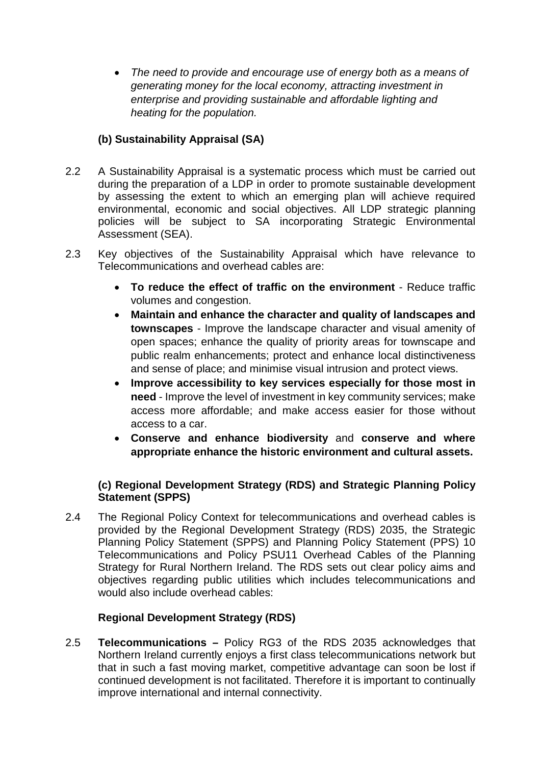• *The need to provide and encourage use of energy both as a means of generating money for the local economy, attracting investment in enterprise and providing sustainable and affordable lighting and heating for the population.*

## **(b) Sustainability Appraisal (SA)**

- 2.2 A Sustainability Appraisal is a systematic process which must be carried out during the preparation of a LDP in order to promote sustainable development by assessing the extent to which an emerging plan will achieve required environmental, economic and social objectives. All LDP strategic planning policies will be subject to SA incorporating Strategic Environmental Assessment (SEA).
- 2.3 Key objectives of the Sustainability Appraisal which have relevance to Telecommunications and overhead cables are:
	- **To reduce the effect of traffic on the environment**  Reduce traffic volumes and congestion.
	- **Maintain and enhance the character and quality of landscapes and townscapes** - Improve the landscape character and visual amenity of open spaces; enhance the quality of priority areas for townscape and public realm enhancements; protect and enhance local distinctiveness and sense of place; and minimise visual intrusion and protect views.
	- **Improve accessibility to key services especially for those most in need** - Improve the level of investment in key community services; make access more affordable; and make access easier for those without access to a car.
	- **Conserve and enhance biodiversity** and **conserve and where appropriate enhance the historic environment and cultural assets.**

## **(c) Regional Development Strategy (RDS) and Strategic Planning Policy Statement (SPPS)**

2.4 The Regional Policy Context for telecommunications and overhead cables is provided by the Regional Development Strategy (RDS) 2035, the Strategic Planning Policy Statement (SPPS) and Planning Policy Statement (PPS) 10 Telecommunications and Policy PSU11 Overhead Cables of the Planning Strategy for Rural Northern Ireland. The RDS sets out clear policy aims and objectives regarding public utilities which includes telecommunications and would also include overhead cables:

## **Regional Development Strategy (RDS)**

2.5 **Telecommunications –** Policy RG3 of the RDS 2035 acknowledges that Northern Ireland currently enjoys a first class telecommunications network but that in such a fast moving market, competitive advantage can soon be lost if continued development is not facilitated. Therefore it is important to continually improve international and internal connectivity.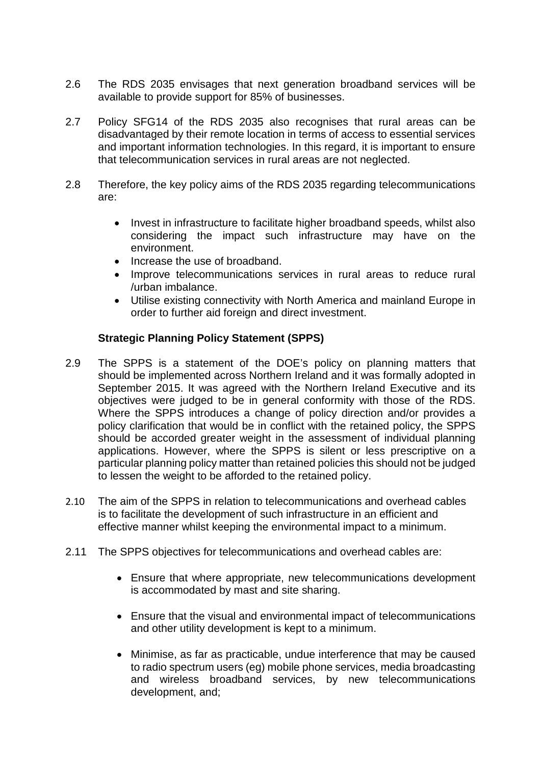- 2.6 The RDS 2035 envisages that next generation broadband services will be available to provide support for 85% of businesses.
- 2.7 Policy SFG14 of the RDS 2035 also recognises that rural areas can be disadvantaged by their remote location in terms of access to essential services and important information technologies. In this regard, it is important to ensure that telecommunication services in rural areas are not neglected.
- 2.8 Therefore, the key policy aims of the RDS 2035 regarding telecommunications are:
	- Invest in infrastructure to facilitate higher broadband speeds, whilst also considering the impact such infrastructure may have on the environment.
	- Increase the use of broadband.
	- Improve telecommunications services in rural areas to reduce rural /urban imbalance.
	- Utilise existing connectivity with North America and mainland Europe in order to further aid foreign and direct investment.

## **Strategic Planning Policy Statement (SPPS)**

- 2.9 The SPPS is a statement of the DOE's policy on planning matters that should be implemented across Northern Ireland and it was formally adopted in September 2015. It was agreed with the Northern Ireland Executive and its objectives were judged to be in general conformity with those of the RDS. Where the SPPS introduces a change of policy direction and/or provides a policy clarification that would be in conflict with the retained policy, the SPPS should be accorded greater weight in the assessment of individual planning applications. However, where the SPPS is silent or less prescriptive on a particular planning policy matter than retained policies this should not be judged to lessen the weight to be afforded to the retained policy.
- 2.10 The aim of the SPPS in relation to telecommunications and overhead cables is to facilitate the development of such infrastructure in an efficient and effective manner whilst keeping the environmental impact to a minimum.
- 2.11 The SPPS objectives for telecommunications and overhead cables are:
	- Ensure that where appropriate, new telecommunications development is accommodated by mast and site sharing.
	- Ensure that the visual and environmental impact of telecommunications and other utility development is kept to a minimum.
	- Minimise, as far as practicable, undue interference that may be caused to radio spectrum users (eg) mobile phone services, media broadcasting and wireless broadband services, by new telecommunications development, and;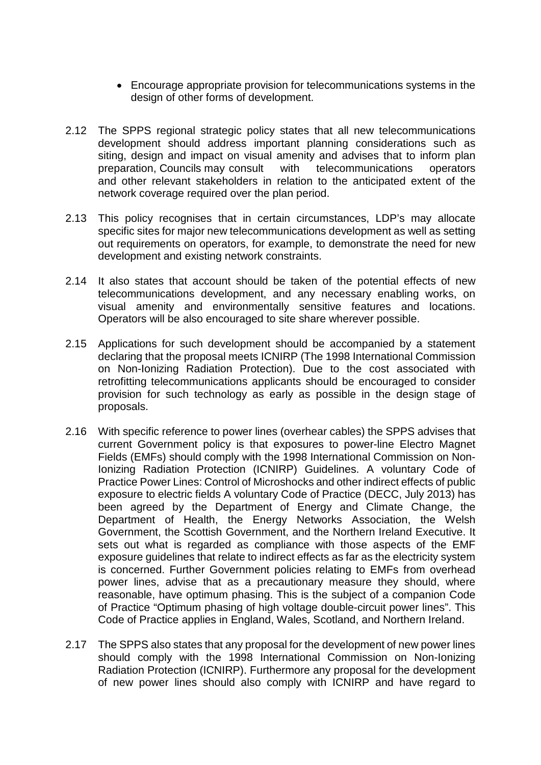- Encourage appropriate provision for telecommunications systems in the design of other forms of development.
- 2.12 The SPPS regional strategic policy states that all new telecommunications development should address important planning considerations such as siting, design and impact on visual amenity and advises that to inform plan preparation, Councils may consult with telecommunications operators and other relevant stakeholders in relation to the anticipated extent of the network coverage required over the plan period.
- 2.13 This policy recognises that in certain circumstances, LDP's may allocate specific sites for major new telecommunications development as well as setting out requirements on operators, for example, to demonstrate the need for new development and existing network constraints.
- 2.14 It also states that account should be taken of the potential effects of new telecommunications development, and any necessary enabling works, on visual amenity and environmentally sensitive features and locations. Operators will be also encouraged to site share wherever possible.
- 2.15 Applications for such development should be accompanied by a statement declaring that the proposal meets ICNIRP (The 1998 International Commission on Non-Ionizing Radiation Protection). Due to the cost associated with retrofitting telecommunications applicants should be encouraged to consider provision for such technology as early as possible in the design stage of proposals.
- 2.16 With specific reference to power lines (overhear cables) the SPPS advises that current Government policy is that exposures to power-line Electro Magnet Fields (EMFs) should comply with the 1998 International Commission on Non-Ionizing Radiation Protection (ICNIRP) Guidelines. A voluntary Code of Practice Power Lines: Control of Microshocks and other indirect effects of public exposure to electric fields A voluntary Code of Practice (DECC, July 2013) has been agreed by the Department of Energy and Climate Change, the Department of Health, the Energy Networks Association, the Welsh Government, the Scottish Government, and the Northern Ireland Executive. It sets out what is regarded as compliance with those aspects of the EMF exposure guidelines that relate to indirect effects as far as the electricity system is concerned. Further Government policies relating to EMFs from overhead power lines, advise that as a precautionary measure they should, where reasonable, have optimum phasing. This is the subject of a companion Code of Practice "Optimum phasing of high voltage double-circuit power lines". This Code of Practice applies in England, Wales, Scotland, and Northern Ireland.
- 2.17 The SPPS also states that any proposal for the development of new power lines should comply with the 1998 International Commission on Non-Ionizing Radiation Protection (ICNIRP). Furthermore any proposal for the development of new power lines should also comply with ICNIRP and have regard to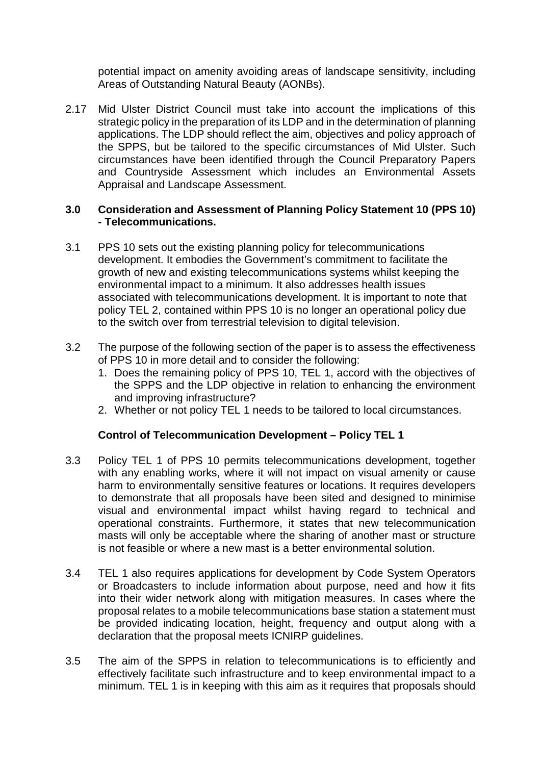potential impact on amenity avoiding areas of landscape sensitivity, including Areas of Outstanding Natural Beauty (AONBs).

2.17 Mid Ulster District Council must take into account the implications of this strategic policy in the preparation of its LDP and in the determination of planning applications. The LDP should reflect the aim, objectives and policy approach of the SPPS, but be tailored to the specific circumstances of Mid Ulster. Such circumstances have been identified through the Council Preparatory Papers and Countryside Assessment which includes an Environmental Assets Appraisal and Landscape Assessment.

### **3.0 Consideration and Assessment of Planning Policy Statement 10 (PPS 10) - Telecommunications.**

- 3.1 PPS 10 sets out the existing planning policy for telecommunications development. It embodies the Government's commitment to facilitate the growth of new and existing telecommunications systems whilst keeping the environmental impact to a minimum. It also addresses health issues associated with telecommunications development. It is important to note that policy TEL 2, contained within PPS 10 is no longer an operational policy due to the switch over from terrestrial television to digital television.
- 3.2 The purpose of the following section of the paper is to assess the effectiveness of PPS 10 in more detail and to consider the following:
	- 1. Does the remaining policy of PPS 10, TEL 1, accord with the objectives of the SPPS and the LDP objective in relation to enhancing the environment and improving infrastructure?
	- 2. Whether or not policy TEL 1 needs to be tailored to local circumstances.

### **Control of Telecommunication Development – Policy TEL 1**

- 3.3 Policy TEL 1 of PPS 10 permits telecommunications development, together with any enabling works, where it will not impact on visual amenity or cause harm to environmentally sensitive features or locations. It requires developers to demonstrate that all proposals have been sited and designed to minimise visual and environmental impact whilst having regard to technical and operational constraints. Furthermore, it states that new telecommunication masts will only be acceptable where the sharing of another mast or structure is not feasible or where a new mast is a better environmental solution.
- 3.4 TEL 1 also requires applications for development by Code System Operators or Broadcasters to include information about purpose, need and how it fits into their wider network along with mitigation measures. In cases where the proposal relates to a mobile telecommunications base station a statement must be provided indicating location, height, frequency and output along with a declaration that the proposal meets ICNIRP guidelines.
- 3.5 The aim of the SPPS in relation to telecommunications is to efficiently and effectively facilitate such infrastructure and to keep environmental impact to a minimum. TEL 1 is in keeping with this aim as it requires that proposals should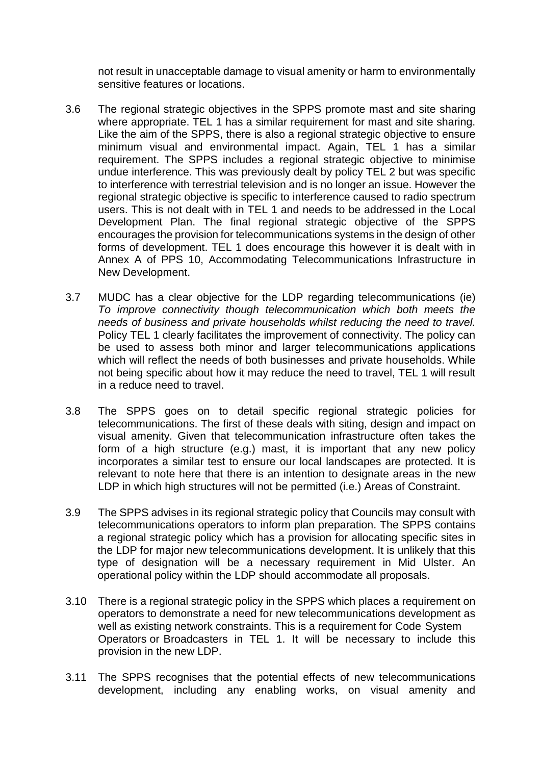not result in unacceptable damage to visual amenity or harm to environmentally sensitive features or locations.

- 3.6 The regional strategic objectives in the SPPS promote mast and site sharing where appropriate. TEL 1 has a similar requirement for mast and site sharing. Like the aim of the SPPS, there is also a regional strategic objective to ensure minimum visual and environmental impact. Again, TEL 1 has a similar requirement. The SPPS includes a regional strategic objective to minimise undue interference. This was previously dealt by policy TEL 2 but was specific to interference with terrestrial television and is no longer an issue. However the regional strategic objective is specific to interference caused to radio spectrum users. This is not dealt with in TEL 1 and needs to be addressed in the Local Development Plan. The final regional strategic objective of the SPPS encourages the provision for telecommunications systems in the design of other forms of development. TEL 1 does encourage this however it is dealt with in Annex A of PPS 10, Accommodating Telecommunications Infrastructure in New Development.
- 3.7 MUDC has a clear objective for the LDP regarding telecommunications (ie) *To improve connectivity though telecommunication which both meets the needs of business and private households whilst reducing the need to travel.*  Policy TEL 1 clearly facilitates the improvement of connectivity. The policy can be used to assess both minor and larger telecommunications applications which will reflect the needs of both businesses and private households. While not being specific about how it may reduce the need to travel, TEL 1 will result in a reduce need to travel.
- 3.8 The SPPS goes on to detail specific regional strategic policies for telecommunications. The first of these deals with siting, design and impact on visual amenity. Given that telecommunication infrastructure often takes the form of a high structure (e.g.) mast, it is important that any new policy incorporates a similar test to ensure our local landscapes are protected. It is relevant to note here that there is an intention to designate areas in the new LDP in which high structures will not be permitted (i.e.) Areas of Constraint.
- 3.9 The SPPS advises in its regional strategic policy that Councils may consult with telecommunications operators to inform plan preparation. The SPPS contains a regional strategic policy which has a provision for allocating specific sites in the LDP for major new telecommunications development. It is unlikely that this type of designation will be a necessary requirement in Mid Ulster. An operational policy within the LDP should accommodate all proposals.
- 3.10 There is a regional strategic policy in the SPPS which places a requirement on operators to demonstrate a need for new telecommunications development as well as existing network constraints. This is a requirement for Code System Operators or Broadcasters in TEL 1. It will be necessary to include this provision in the new LDP.
- 3.11 The SPPS recognises that the potential effects of new telecommunications development, including any enabling works, on visual amenity and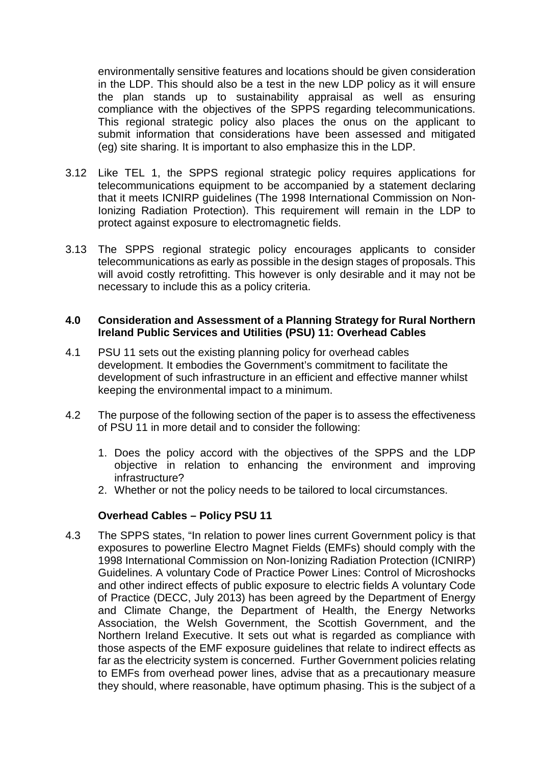environmentally sensitive features and locations should be given consideration in the LDP. This should also be a test in the new LDP policy as it will ensure the plan stands up to sustainability appraisal as well as ensuring compliance with the objectives of the SPPS regarding telecommunications. This regional strategic policy also places the onus on the applicant to submit information that considerations have been assessed and mitigated (eg) site sharing. It is important to also emphasize this in the LDP.

- 3.12 Like TEL 1, the SPPS regional strategic policy requires applications for telecommunications equipment to be accompanied by a statement declaring that it meets ICNIRP guidelines (The 1998 International Commission on Non-Ionizing Radiation Protection). This requirement will remain in the LDP to protect against exposure to electromagnetic fields.
- 3.13 The SPPS regional strategic policy encourages applicants to consider telecommunications as early as possible in the design stages of proposals. This will avoid costly retrofitting. This however is only desirable and it may not be necessary to include this as a policy criteria.

#### **4.0 Consideration and Assessment of a Planning Strategy for Rural Northern Ireland Public Services and Utilities (PSU) 11: Overhead Cables**

- 4.1 PSU 11 sets out the existing planning policy for overhead cables development. It embodies the Government's commitment to facilitate the development of such infrastructure in an efficient and effective manner whilst keeping the environmental impact to a minimum.
- 4.2 The purpose of the following section of the paper is to assess the effectiveness of PSU 11 in more detail and to consider the following:
	- 1. Does the policy accord with the objectives of the SPPS and the LDP objective in relation to enhancing the environment and improving infrastructure?
	- 2. Whether or not the policy needs to be tailored to local circumstances.

#### **Overhead Cables – Policy PSU 11**

4.3 The SPPS states, "In relation to power lines current Government policy is that exposures to powerline Electro Magnet Fields (EMFs) should comply with the 1998 International Commission on Non-Ionizing Radiation Protection (ICNIRP) Guidelines. A voluntary Code of Practice Power Lines: Control of Microshocks and other indirect effects of public exposure to electric fields A voluntary Code of Practice (DECC, July 2013) has been agreed by the Department of Energy and Climate Change, the Department of Health, the Energy Networks Association, the Welsh Government, the Scottish Government, and the Northern Ireland Executive. It sets out what is regarded as compliance with those aspects of the EMF exposure guidelines that relate to indirect effects as far as the electricity system is concerned. Further Government policies relating to EMFs from overhead power lines, advise that as a precautionary measure they should, where reasonable, have optimum phasing. This is the subject of a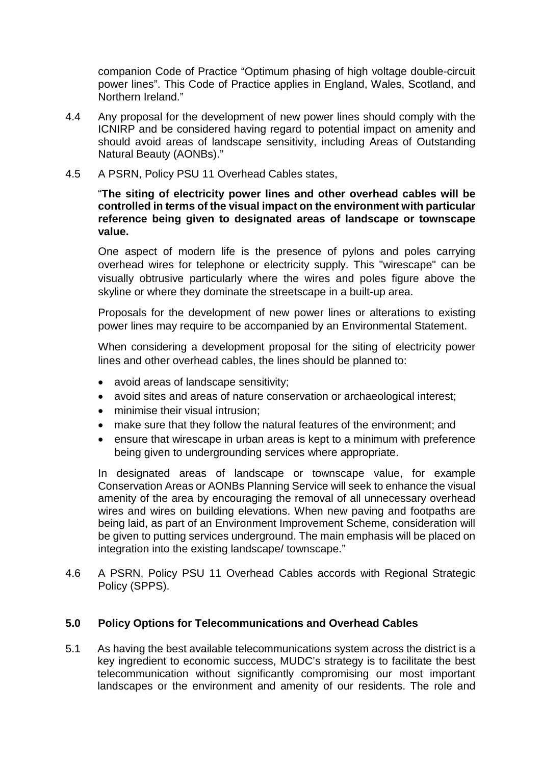companion Code of Practice "Optimum phasing of high voltage double-circuit power lines". This Code of Practice applies in England, Wales, Scotland, and Northern Ireland."

- 4.4 Any proposal for the development of new power lines should comply with the ICNIRP and be considered having regard to potential impact on amenity and should avoid areas of landscape sensitivity, including Areas of Outstanding Natural Beauty (AONBs)."
- 4.5 A PSRN, Policy PSU 11 Overhead Cables states,

"**The siting of electricity power lines and other overhead cables will be controlled in terms of the visual impact on the environment with particular reference being given to designated areas of landscape or townscape value.**

One aspect of modern life is the presence of pylons and poles carrying overhead wires for telephone or electricity supply. This "wirescape" can be visually obtrusive particularly where the wires and poles figure above the skyline or where they dominate the streetscape in a built-up area.

Proposals for the development of new power lines or alterations to existing power lines may require to be accompanied by an Environmental Statement.

When considering a development proposal for the siting of electricity power lines and other overhead cables, the lines should be planned to:

- avoid areas of landscape sensitivity;
- avoid sites and areas of nature conservation or archaeological interest;
- minimise their visual intrusion:
- make sure that they follow the natural features of the environment; and
- ensure that wirescape in urban areas is kept to a minimum with preference being given to undergrounding services where appropriate.

In designated areas of landscape or townscape value, for example Conservation Areas or AONBs Planning Service will seek to enhance the visual amenity of the area by encouraging the removal of all unnecessary overhead wires and wires on building elevations. When new paving and footpaths are being laid, as part of an Environment Improvement Scheme, consideration will be given to putting services underground. The main emphasis will be placed on integration into the existing landscape/ townscape."

4.6 A PSRN, Policy PSU 11 Overhead Cables accords with Regional Strategic Policy (SPPS).

### **5.0 Policy Options for Telecommunications and Overhead Cables**

5.1 As having the best available telecommunications system across the district is a key ingredient to economic success, MUDC's strategy is to facilitate the best telecommunication without significantly compromising our most important landscapes or the environment and amenity of our residents. The role and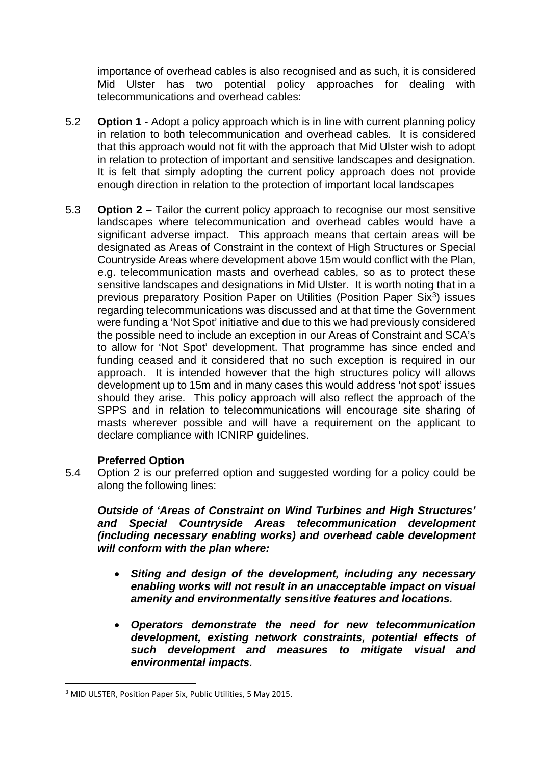importance of overhead cables is also recognised and as such, it is considered Mid Ulster has two potential policy approaches for dealing with telecommunications and overhead cables:

- 5.2 **Option 1** Adopt a policy approach which is in line with current planning policy in relation to both telecommunication and overhead cables. It is considered that this approach would not fit with the approach that Mid Ulster wish to adopt in relation to protection of important and sensitive landscapes and designation. It is felt that simply adopting the current policy approach does not provide enough direction in relation to the protection of important local landscapes
- 5.3 **Option 2 –** Tailor the current policy approach to recognise our most sensitive landscapes where telecommunication and overhead cables would have a significant adverse impact. This approach means that certain areas will be designated as Areas of Constraint in the context of High Structures or Special Countryside Areas where development above 15m would conflict with the Plan, e.g. telecommunication masts and overhead cables, so as to protect these sensitive landscapes and designations in Mid Ulster. It is worth noting that in a previous preparatory Position Paper on Utilities (Position Paper Six<sup>[3](#page-10-0)</sup>) issues regarding telecommunications was discussed and at that time the Government were funding a 'Not Spot' initiative and due to this we had previously considered the possible need to include an exception in our Areas of Constraint and SCA's to allow for 'Not Spot' development. That programme has since ended and funding ceased and it considered that no such exception is required in our approach. It is intended however that the high structures policy will allows development up to 15m and in many cases this would address 'not spot' issues should they arise. This policy approach will also reflect the approach of the SPPS and in relation to telecommunications will encourage site sharing of masts wherever possible and will have a requirement on the applicant to declare compliance with ICNIRP guidelines.

## **Preferred Option**

5.4 Option 2 is our preferred option and suggested wording for a policy could be along the following lines:

*Outside of 'Areas of Constraint on Wind Turbines and High Structures' and Special Countryside Areas telecommunication development (including necessary enabling works) and overhead cable development will conform with the plan where:*

- *Siting and design of the development, including any necessary enabling works will not result in an unacceptable impact on visual amenity and environmentally sensitive features and locations.*
- *Operators demonstrate the need for new telecommunication development, existing network constraints, potential effects of such development and measures to mitigate visual and environmental impacts.*

<span id="page-10-0"></span><sup>&</sup>lt;sup>3</sup> MID ULSTER, Position Paper Six, Public Utilities, 5 May 2015.